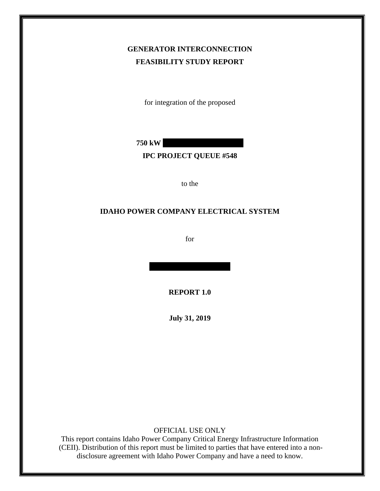# **GENERATOR INTERCONNECTION FEASIBILITY STUDY REPORT**

for integration of the proposed

**750 kW** 

#### **IPC PROJECT QUEUE #548**

to the

#### **IDAHO POWER COMPANY ELECTRICAL SYSTEM**

for

**REPORT 1.0**

**July 31, 2019**

OFFICIAL USE ONLY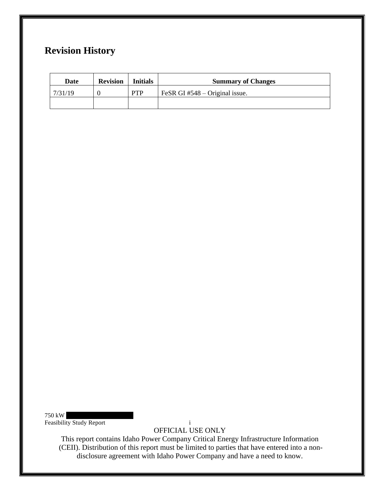# **Revision History**

| Date    | <b>Revision</b> | <b>Initials</b> | <b>Summary of Changes</b>        |  |
|---------|-----------------|-----------------|----------------------------------|--|
| 7/31/19 |                 | <b>PTP</b>      | FeSR GI $#548 -$ Original issue. |  |
|         |                 |                 |                                  |  |

 $750$  kW Feasibility Study Report i

OFFICIAL USE ONLY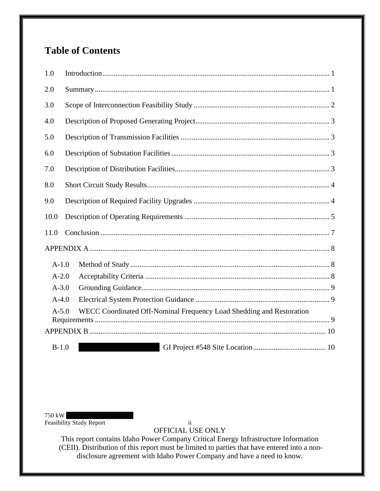# **Table of Contents**

| 1.0                                                                               |  |  |  |
|-----------------------------------------------------------------------------------|--|--|--|
| 2.0                                                                               |  |  |  |
| 3.0                                                                               |  |  |  |
| 4.0                                                                               |  |  |  |
| 5.0                                                                               |  |  |  |
| 6.0                                                                               |  |  |  |
| 7.0                                                                               |  |  |  |
| 8.0                                                                               |  |  |  |
| 9.0                                                                               |  |  |  |
| 10.0                                                                              |  |  |  |
| 11.0                                                                              |  |  |  |
|                                                                                   |  |  |  |
| $A-1.0$                                                                           |  |  |  |
| $A-2.0$                                                                           |  |  |  |
| $A - 3.0$                                                                         |  |  |  |
| $A-4.0$                                                                           |  |  |  |
| WECC Coordinated Off-Nominal Frequency Load Shedding and Restoration<br>$A - 5.0$ |  |  |  |
|                                                                                   |  |  |  |
| $B-1.0$                                                                           |  |  |  |

 $750$  kW Feasibility Study Report ii

OFFICIAL USE ONLY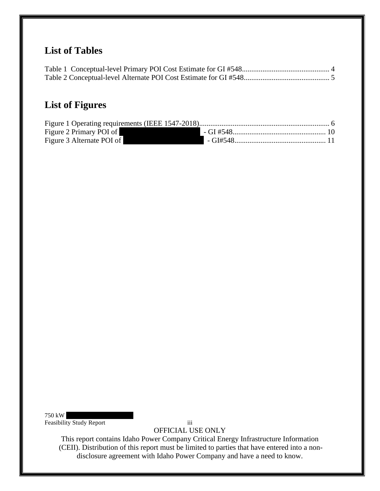# **List of Tables**

# **List of Figures**

| Figure 2 Primary POI of   |  |
|---------------------------|--|
| Figure 3 Alternate POI of |  |

 $750 \:\rm{kW}$ Feasibility Study Report iii

OFFICIAL USE ONLY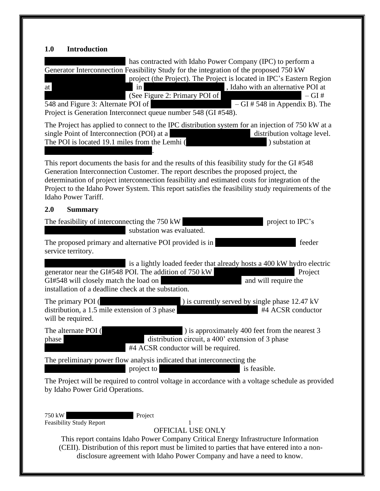# <span id="page-4-0"></span>**1.0 Introduction**

<span id="page-4-1"></span>

| has contracted with Idaho Power Company (IPC) to perform a<br>Generator Interconnection Feasibility Study for the integration of the proposed 750 kW<br>project (the Project). The Project is located in IPC's Eastern Region<br>, Idaho with an alternative POI at<br>in<br>at<br>(See Figure 2: Primary POI of<br>$-$ GI $\#$<br>548 and Figure 3: Alternate POI of<br>$-GI \# 548$ in Appendix B). The<br>Project is Generation Interconnect queue number 548 (GI #548). |
|-----------------------------------------------------------------------------------------------------------------------------------------------------------------------------------------------------------------------------------------------------------------------------------------------------------------------------------------------------------------------------------------------------------------------------------------------------------------------------|
| The Project has applied to connect to the IPC distribution system for an injection of 750 kW at a<br>single Point of Interconnection (POI) at a<br>distribution voltage level.<br>The POI is located 19.1 miles from the Lemhi (<br>) substation at                                                                                                                                                                                                                         |
| This report documents the basis for and the results of this feasibility study for the GI #548<br>Generation Interconnection Customer. The report describes the proposed project, the<br>determination of project interconnection feasibility and estimated costs for integration of the<br>Project to the Idaho Power System. This report satisfies the feasibility study requirements of the<br>Idaho Power Tariff.                                                        |
| 2.0<br><b>Summary</b>                                                                                                                                                                                                                                                                                                                                                                                                                                                       |
| The feasibility of interconnecting the 750 kW<br>project to IPC's<br>substation was evaluated.                                                                                                                                                                                                                                                                                                                                                                              |
| The proposed primary and alternative POI provided is in<br>feeder<br>service territory.                                                                                                                                                                                                                                                                                                                                                                                     |
| is a lightly loaded feeder that already hosts a 400 kW hydro electric<br>generator near the GI#548 POI. The addition of 750 kW<br>Project<br>GI#548 will closely match the load on<br>and will require the<br>installation of a deadline check at the substation.                                                                                                                                                                                                           |
| ) is currently served by single phase 12.47 kV<br>The primary POI (<br>distribution, a 1.5 mile extension of 3 phase<br>#4 ACSR conductor<br>will be required.                                                                                                                                                                                                                                                                                                              |
| ) is approximately 400 feet from the nearest 3<br>The alternate POI (<br>distribution circuit, a 400' extension of 3 phase<br>phase<br>#4 ACSR conductor will be required.                                                                                                                                                                                                                                                                                                  |
| The preliminary power flow analysis indicated that interconnecting the<br>project to<br>is feasible.                                                                                                                                                                                                                                                                                                                                                                        |
| The Project will be required to control voltage in accordance with a voltage schedule as provided<br>by Idaho Power Grid Operations.                                                                                                                                                                                                                                                                                                                                        |
| 750 kW<br>Project<br><b>Feasibility Study Report</b><br>OFFICIAL USE ONLY<br>This report contains Idaho Power Company Critical Energy Infrastructure Information<br>(CEII). Distribution of this report must be limited to parties that have entered into a non-<br>disclosure agreement with Idaho Power Company and have a need to know.                                                                                                                                  |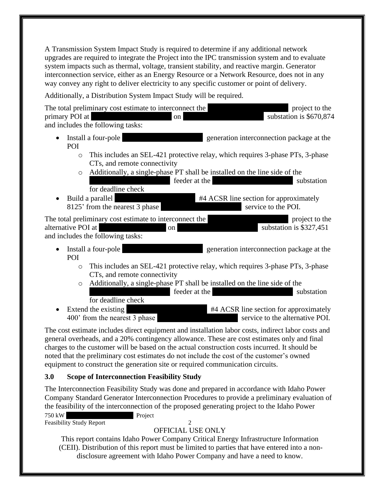A Transmission System Impact Study is required to determine if any additional network upgrades are required to integrate the Project into the IPC transmission system and to evaluate system impacts such as thermal, voltage, transient stability, and reactive margin. Generator interconnection service, either as an Energy Resource or a Network Resource, does not in any way convey any right to deliver electricity to any specific customer or point of delivery.

Additionally, a Distribution System Impact Study will be required.

| The total preliminary cost estimate to interconnect the<br>project to the<br>substation is \$670,874<br>primary POI at<br>on<br>and includes the following tasks:     |
|-----------------------------------------------------------------------------------------------------------------------------------------------------------------------|
| Install a four-pole<br>generation interconnection package at the<br>POI                                                                                               |
| This includes an SEL-421 protective relay, which requires 3-phase PTs, 3-phase<br>$\circ$<br>CTs, and remote connectivity                                             |
| Additionally, a single-phase PT shall be installed on the line side of the<br>$\circ$<br>feeder at the<br>substation<br>for deadline check                            |
| Build a parallel<br>#4 ACSR line section for approximately<br>$\bullet$<br>8125' from the nearest 3 phase<br>service to the POI.                                      |
| The total preliminary cost estimate to interconnect the<br>project to the<br>alternative POI at<br>substation is \$327,451<br>on<br>and includes the following tasks: |
| generation interconnection package at the<br>Install a four-pole<br>$\bullet$<br>POI                                                                                  |
| This includes an SEL-421 protective relay, which requires 3-phase PTs, 3-phase<br>$\circ$<br>CTs, and remote connectivity                                             |
| Additionally, a single-phase PT shall be installed on the line side of the<br>$\circ$<br>feeder at the<br>substation<br>for deadline check                            |
| Extend the existing<br>#4 ACSR line section for approximately<br>400' from the nearest 3 phase<br>service to the alternative POI.                                     |
| The cost estimate includes direct equipment and installation labor costs, indirect labor costs and<br>$1 \quad 1 \quad 1 \quad 200$                                   |

general overheads, and a 20% contingency allowance. These are cost estimates only and final charges to the customer will be based on the actual construction costs incurred. It should be noted that the preliminary cost estimates do not include the cost of the customer's owned equipment to construct the generation site or required communication circuits.

## <span id="page-5-0"></span>**3.0 Scope of Interconnection Feasibility Study**

The Interconnection Feasibility Study was done and prepared in accordance with Idaho Power Company Standard Generator Interconnection Procedures to provide a preliminary evaluation of the feasibility of the interconnection of the proposed generating project to the Idaho Power

750 kW Project Feasibility Study Report 2

# OFFICIAL USE ONLY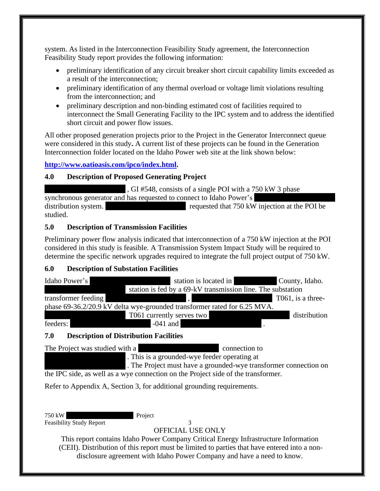system. As listed in the Interconnection Feasibility Study agreement, the Interconnection Feasibility Study report provides the following information:

- preliminary identification of any circuit breaker short circuit capability limits exceeded as a result of the interconnection;
- preliminary identification of any thermal overload or voltage limit violations resulting from the interconnection; and
- preliminary description and non-binding estimated cost of facilities required to interconnect the Small Generating Facility to the IPC system and to address the identified short circuit and power flow issues.

All other proposed generation projects prior to the Project in the Generator Interconnect queue were considered in this study**.** A current list of these projects can be found in the Generation Interconnection folder located on the Idaho Power web site at the link shown below:

**[http://www.oatioasis.com/ipco/index.html.](http://www.oatioasis.com/ipco/index.html)**

# <span id="page-6-0"></span>**4.0 Description of Proposed Generating Project**

 $\overline{X}$ , GI #548, consists of a single POI with a 750 kW 3 phase synchronous generator and has requested to connect to Idaho Power's distribution system. The requested that 750 kW injection at the POI be studied.

## <span id="page-6-1"></span>**5.0 Description of Transmission Facilities**

Preliminary power flow analysis indicated that interconnection of a 750 kW injection at the POI considered in this study is feasible. A Transmission System Impact Study will be required to determine the specific network upgrades required to integrate the full project output of 750 kW.

## <span id="page-6-2"></span>**6.0 Description of Substation Facilities**



# <span id="page-6-3"></span>**7.0 Description of Distribution Facilities**

The Project was studied with a XXXXXXXXX connection to

. This is a grounded-wye feeder operating at

. The Project must have a grounded-wye transformer connection on the IPC side, as well as a wye connection on the Project side of the transformer.

Refer to Appendix A, Section 3, for additional grounding requirements.

750 kW Project Feasibility Study Report 3

OFFICIAL USE ONLY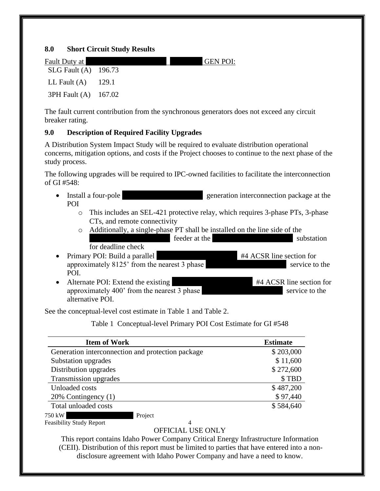#### <span id="page-7-0"></span>**8.0 Short Circuit Study Results**

| Fault Duty at            | <b>GEN POI:</b> |
|--------------------------|-----------------|
| $SLG$ Fault $(A)$ 196.73 |                 |
| LL Fault $(A)$ 129.1     |                 |
| 3PH Fault (A) 167.02     |                 |

The fault current contribution from the synchronous generators does not exceed any circuit breaker rating.

### <span id="page-7-1"></span>**9.0 Description of Required Facility Upgrades**

A Distribution System Impact Study will be required to evaluate distribution operational concerns, mitigation options, and costs if the Project chooses to continue to the next phase of the study process.

The following upgrades will be required to IPC-owned facilities to facilitate the interconnection of GI #548:

- Install a four-pole yeneration interconnection package at the POI
	- o This includes an SEL-421 protective relay, which requires 3-phase PTs, 3-phase CTs, and remote connectivity
	- o Additionally, a single-phase PT shall be installed on the line side of the XXXXXXXXXXXXXXX feeder at the XXXXXXXXXXXXXXX substation
- for deadline check • Primary POI: Build a parallel  $\#4$  ACSR line section for approximately 8125' from the nearest 3 phase Service to the Service to the POI.
- Alternate POI: Extend the existing #4 ACSR line section for approximately  $400'$  from the nearest 3 phase alternative POI.

<span id="page-7-2"></span>See the conceptual-level cost estimate in Table 1 and Table 2.

Table 1 Conceptual-level Primary POI Cost Estimate for GI #548

| <b>Item of Work</b>                               | <b>Estimate</b> |
|---------------------------------------------------|-----------------|
| Generation interconnection and protection package | \$203,000       |
| Substation upgrades                               | \$11,600        |
| Distribution upgrades                             | \$272,600       |
| Transmission upgrades                             | \$TBD           |
| Unloaded costs                                    | \$487,200       |
| 20% Contingency (1)                               | \$97,440        |
| Total unloaded costs                              | \$584,640       |
| 750 kW<br>Project                                 |                 |

Feasibility Study Report 4

# OFFICIAL USE ONLY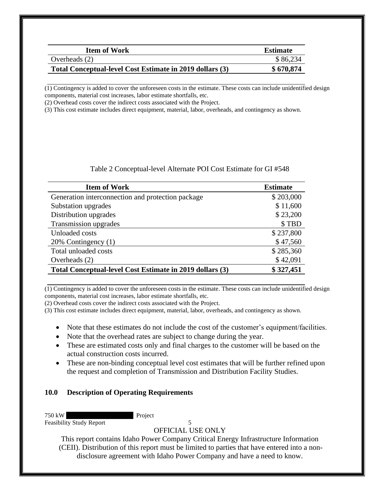| <b>Item of Work</b>                                      | <b>Estimate</b> |
|----------------------------------------------------------|-----------------|
| Overheads $(2)$                                          | \$86,234        |
| Total Conceptual-level Cost Estimate in 2019 dollars (3) | \$670,874       |

(1) Contingency is added to cover the unforeseen costs in the estimate. These costs can include unidentified design components, material cost increases, labor estimate shortfalls, etc.

(2) Overhead costs cover the indirect costs associated with the Project.

(3) This cost estimate includes direct equipment, material, labor, overheads, and contingency as shown.

| Table 2 Conceptual-level Alternate POI Cost Estimate for GI #548 |  |
|------------------------------------------------------------------|--|
|------------------------------------------------------------------|--|

<span id="page-8-1"></span>

| <b>Item of Work</b>                                      | <b>Estimate</b> |
|----------------------------------------------------------|-----------------|
| Generation interconnection and protection package        | \$203,000       |
| Substation upgrades                                      | \$11,600        |
| Distribution upgrades                                    | \$23,200        |
| Transmission upgrades                                    | \$TBD           |
| Unloaded costs                                           | \$237,800       |
| 20% Contingency (1)                                      | \$47,560        |
| Total unloaded costs                                     | \$285,360       |
| Overheads (2)                                            | \$42,091        |
| Total Conceptual-level Cost Estimate in 2019 dollars (3) | \$327,451       |

(1) Contingency is added to cover the unforeseen costs in the estimate. These costs can include unidentified design components, material cost increases, labor estimate shortfalls, etc.

(2) Overhead costs cover the indirect costs associated with the Project.

(3) This cost estimate includes direct equipment, material, labor, overheads, and contingency as shown.

- Note that these estimates do not include the cost of the customer's equipment/facilities.
- Note that the overhead rates are subject to change during the year.
- These are estimated costs only and final charges to the customer will be based on the actual construction costs incurred.
- These are non-binding conceptual level cost estimates that will be further refined upon the request and completion of Transmission and Distribution Facility Studies.

#### <span id="page-8-0"></span>**10.0 Description of Operating Requirements**

750 kW Project

Feasibility Study Report 5 OFFICIAL USE ONLY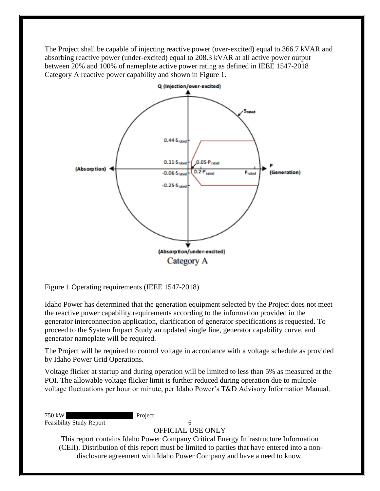The Project shall be capable of injecting reactive power (over-excited) equal to 366.7 kVAR and absorbing reactive power (under-excited) equal to 208.3 kVAR at all active power output between 20% and 100% of nameplate active power rating as defined in IEEE 1547-2018 Category A reactive power capability and shown in Figure 1.



<span id="page-9-0"></span>Figure 1 Operating requirements (IEEE 1547-2018)

Idaho Power has determined that the generation equipment selected by the Project does not meet the reactive power capability requirements according to the information provided in the generator interconnection application, clarification of generator specifications is requested. To proceed to the System Impact Study an updated single line, generator capability curve, and generator nameplate will be required.

The Project will be required to control voltage in accordance with a voltage schedule as provided by Idaho Power Grid Operations.

Voltage flicker at startup and during operation will be limited to less than 5% as measured at the POI. The allowable voltage flicker limit is further reduced during operation due to multiple voltage fluctuations per hour or minute, per Idaho Power's T&D Advisory Information Manual.

750 kW Project Feasibility Study Report 6

OFFICIAL USE ONLY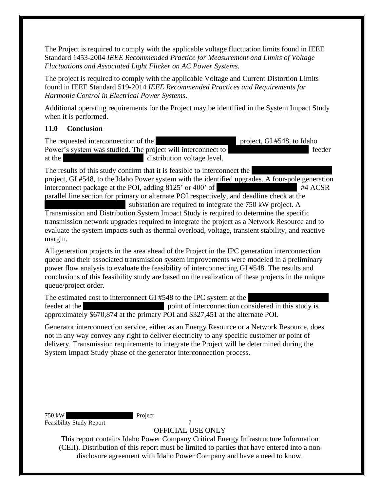The Project is required to comply with the applicable voltage fluctuation limits found in IEEE Standard 1453-2004 *IEEE Recommended Practice for Measurement and Limits of Voltage Fluctuations and Associated Light Flicker on AC Power Systems.* 

The project is required to comply with the applicable Voltage and Current Distortion Limits found in IEEE Standard 519-2014 *IEEE Recommended Practices and Requirements for Harmonic Control in Electrical Power Systems*.

Additional operating requirements for the Project may be identified in the System Impact Study when it is performed.

### <span id="page-10-0"></span>**11.0 Conclusion**

The requested interconnection of the XXXXXXXXXXXX project, GI #548, to Idaho Power's system was studied. The project will interconnect to feeder at the  $\alpha$  istribution voltage level.

The results of this study confirm that it is feasible to interconnect the project, GI #548, to the Idaho Power system with the identified upgrades. A four-pole generation interconnect package at the POI, adding  $8125'$  or  $400'$  of  $\#4$  ACSR parallel line section for primary or alternate POI respectively, and deadline check at the

substation are required to integrate the  $750 \text{ kW}$  project. A Transmission and Distribution System Impact Study is required to determine the specific transmission network upgrades required to integrate the project as a Network Resource and to evaluate the system impacts such as thermal overload, voltage, transient stability, and reactive margin.

All generation projects in the area ahead of the Project in the IPC generation interconnection queue and their associated transmission system improvements were modeled in a preliminary power flow analysis to evaluate the feasibility of interconnecting GI #548. The results and conclusions of this feasibility study are based on the realization of these projects in the unique queue/project order.

The estimated cost to interconnect GI  $#548$  to the IPC system at the feeder at the  $\frac{1}{x}$  point of interconnection considered in this study is approximately \$670,874 at the primary POI and \$327,451 at the alternate POI.

Generator interconnection service, either as an Energy Resource or a Network Resource, does not in any way convey any right to deliver electricity to any specific customer or point of delivery. Transmission requirements to integrate the Project will be determined during the System Impact Study phase of the generator interconnection process.

750 kW Project Feasibility Study Report 7

OFFICIAL USE ONLY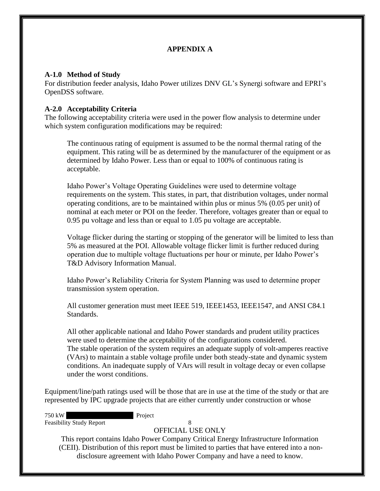## **APPENDIX A**

#### <span id="page-11-1"></span><span id="page-11-0"></span>**A-1.0 Method of Study**

For distribution feeder analysis, Idaho Power utilizes DNV GL's Synergi software and EPRI's OpenDSS software.

## <span id="page-11-2"></span>**A-2.0 Acceptability Criteria**

The following acceptability criteria were used in the power flow analysis to determine under which system configuration modifications may be required:

The continuous rating of equipment is assumed to be the normal thermal rating of the equipment. This rating will be as determined by the manufacturer of the equipment or as determined by Idaho Power. Less than or equal to 100% of continuous rating is acceptable.

Idaho Power's Voltage Operating Guidelines were used to determine voltage requirements on the system. This states, in part, that distribution voltages, under normal operating conditions, are to be maintained within plus or minus 5% (0.05 per unit) of nominal at each meter or POI on the feeder. Therefore, voltages greater than or equal to 0.95 pu voltage and less than or equal to 1.05 pu voltage are acceptable.

Voltage flicker during the starting or stopping of the generator will be limited to less than 5% as measured at the POI. Allowable voltage flicker limit is further reduced during operation due to multiple voltage fluctuations per hour or minute, per Idaho Power's T&D Advisory Information Manual.

Idaho Power's Reliability Criteria for System Planning was used to determine proper transmission system operation.

All customer generation must meet IEEE 519, IEEE1453, IEEE1547, and ANSI C84.1 Standards.

All other applicable national and Idaho Power standards and prudent utility practices were used to determine the acceptability of the configurations considered. The stable operation of the system requires an adequate supply of volt-amperes reactive (VArs) to maintain a stable voltage profile under both steady-state and dynamic system conditions. An inadequate supply of VArs will result in voltage decay or even collapse under the worst conditions.

Equipment/line/path ratings used will be those that are in use at the time of the study or that are represented by IPC upgrade projects that are either currently under construction or whose

750 kW Project Feasibility Study Report 8

OFFICIAL USE ONLY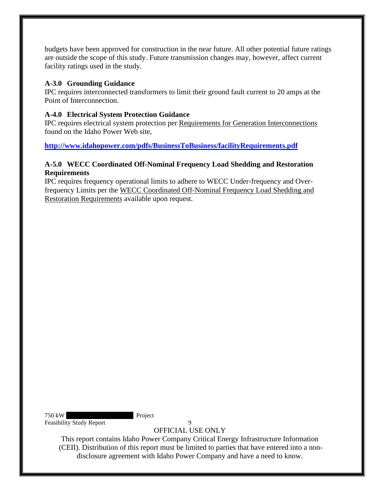budgets have been approved for construction in the near future. All other potential future ratings are outside the scope of this study. Future transmission changes may, however, affect current facility ratings used in the study.

### <span id="page-12-0"></span>**A-3.0 Grounding Guidance**

IPC requires interconnected transformers to limit their ground fault current to 20 amps at the Point of Interconnection.

### <span id="page-12-1"></span>**A-4.0 Electrical System Protection Guidance**

IPC requires electrical system protection per Requirements for Generation Interconnections found on the Idaho Power Web site,

**<http://www.idahopower.com/pdfs/BusinessToBusiness/facilityRequirements.pdf>**

## <span id="page-12-2"></span>**A-5.0 WECC Coordinated Off-Nominal Frequency Load Shedding and Restoration Requirements**

IPC requires frequency operational limits to adhere to WECC Under-frequency and Overfrequency Limits per the WECC Coordinated Off-Nominal Frequency Load Shedding and Restoration Requirements available upon request.

750 kW Project Feasibility Study Report 9

OFFICIAL USE ONLY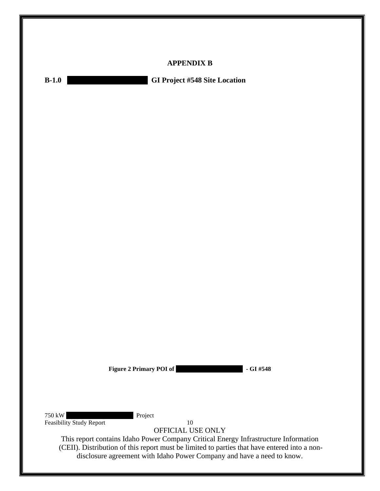<span id="page-13-2"></span><span id="page-13-1"></span><span id="page-13-0"></span>